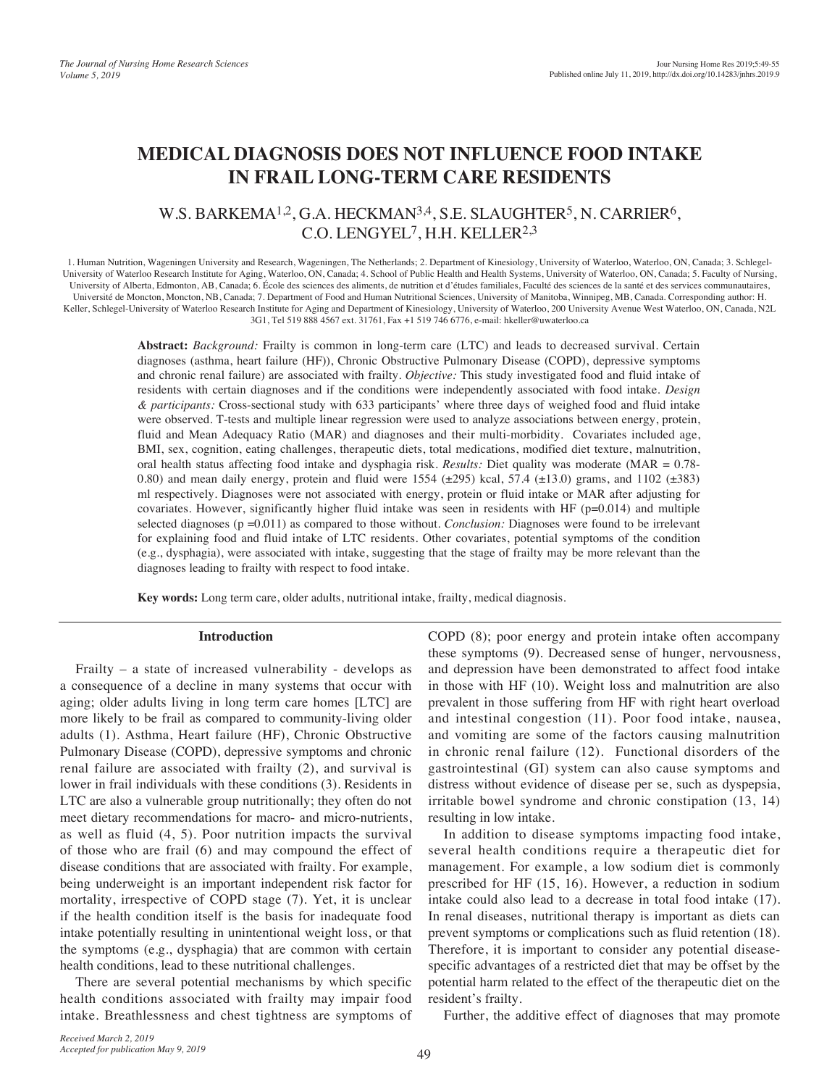# **MEDICAL DIAGNOSIS DOES NOT INFLUENCE FOOD INTAKE IN FRAIL LONG-TERM CARE RESIDENTS**

## W.S. BARKEMA<sup>1,2</sup>, G.A. HECKMAN<sup>3,4</sup>, S.E. SLAUGHTER<sup>5</sup>, N. CARRIER<sup>6</sup>, C.O. LENGYEL7, H.H. KELLER2,3

1. Human Nutrition, Wageningen University and Research, Wageningen, The Netherlands; 2. Department of Kinesiology, University of Waterloo, Waterloo, ON, Canada; 3. Schlegel-University of Waterloo Research Institute for Aging, Waterloo, ON, Canada; 4. School of Public Health and Health Systems, University of Waterloo, ON, Canada; 5. Faculty of Nursing, University of Alberta, Edmonton, AB, Canada; 6. École des sciences des aliments, de nutrition et d'études familiales, Faculté des sciences de la santé et des services communautaires, Université de Moncton, Moncton, NB, Canada; 7. Department of Food and Human Nutritional Sciences, University of Manitoba, Winnipeg, MB, Canada. Corresponding author: H. Keller, Schlegel-University of Waterloo Research Institute for Aging and Department of Kinesiology, University of Waterloo, 200 University Avenue West Waterloo, ON, Canada, N2L 3G1, Tel 519 888 4567 ext. 31761, Fax +1 519 746 6776, e-mail: hkeller@uwaterloo.ca

> **Abstract:** *Background:* Frailty is common in long-term care (LTC) and leads to decreased survival. Certain diagnoses (asthma, heart failure (HF)), Chronic Obstructive Pulmonary Disease (COPD), depressive symptoms and chronic renal failure) are associated with frailty. *Objective:* This study investigated food and fluid intake of residents with certain diagnoses and if the conditions were independently associated with food intake. *Design & participants:* Cross-sectional study with 633 participants' where three days of weighed food and fluid intake were observed. T-tests and multiple linear regression were used to analyze associations between energy, protein, fluid and Mean Adequacy Ratio (MAR) and diagnoses and their multi-morbidity. Covariates included age, BMI, sex, cognition, eating challenges, therapeutic diets, total medications, modified diet texture, malnutrition, oral health status affecting food intake and dysphagia risk. *Results:* Diet quality was moderate (MAR = 0.78- 0.80) and mean daily energy, protein and fluid were 1554  $(\pm 295)$  kcal, 57.4  $(\pm 13.0)$  grams, and 1102  $(\pm 383)$ ml respectively. Diagnoses were not associated with energy, protein or fluid intake or MAR after adjusting for covariates. However, significantly higher fluid intake was seen in residents with HF ( $p=0.014$ ) and multiple selected diagnoses (p =0.011) as compared to those without. *Conclusion:* Diagnoses were found to be irrelevant for explaining food and fluid intake of LTC residents. Other covariates, potential symptoms of the condition (e.g., dysphagia), were associated with intake, suggesting that the stage of frailty may be more relevant than the diagnoses leading to frailty with respect to food intake.

**Key words:** Long term care, older adults, nutritional intake, frailty, medical diagnosis.

#### **Introduction**

Frailty – a state of increased vulnerability - develops as a consequence of a decline in many systems that occur with aging; older adults living in long term care homes [LTC] are more likely to be frail as compared to community-living older adults (1). Asthma, Heart failure (HF), Chronic Obstructive Pulmonary Disease (COPD), depressive symptoms and chronic renal failure are associated with frailty (2), and survival is lower in frail individuals with these conditions (3). Residents in LTC are also a vulnerable group nutritionally; they often do not meet dietary recommendations for macro- and micro-nutrients, as well as fluid (4, 5). Poor nutrition impacts the survival of those who are frail (6) and may compound the effect of disease conditions that are associated with frailty. For example, being underweight is an important independent risk factor for mortality, irrespective of COPD stage (7). Yet, it is unclear if the health condition itself is the basis for inadequate food intake potentially resulting in unintentional weight loss, or that the symptoms (e.g., dysphagia) that are common with certain health conditions, lead to these nutritional challenges.

There are several potential mechanisms by which specific health conditions associated with frailty may impair food intake. Breathlessness and chest tightness are symptoms of COPD (8); poor energy and protein intake often accompany these symptoms (9). Decreased sense of hunger, nervousness, and depression have been demonstrated to affect food intake in those with HF (10). Weight loss and malnutrition are also prevalent in those suffering from HF with right heart overload and intestinal congestion (11). Poor food intake, nausea, and vomiting are some of the factors causing malnutrition in chronic renal failure (12). Functional disorders of the gastrointestinal (GI) system can also cause symptoms and distress without evidence of disease per se, such as dyspepsia, irritable bowel syndrome and chronic constipation (13, 14) resulting in low intake.

In addition to disease symptoms impacting food intake, several health conditions require a therapeutic diet for management. For example, a low sodium diet is commonly prescribed for HF (15, 16). However, a reduction in sodium intake could also lead to a decrease in total food intake (17). In renal diseases, nutritional therapy is important as diets can prevent symptoms or complications such as fluid retention (18). Therefore, it is important to consider any potential diseasespecific advantages of a restricted diet that may be offset by the potential harm related to the effect of the therapeutic diet on the resident's frailty.

Further, the additive effect of diagnoses that may promote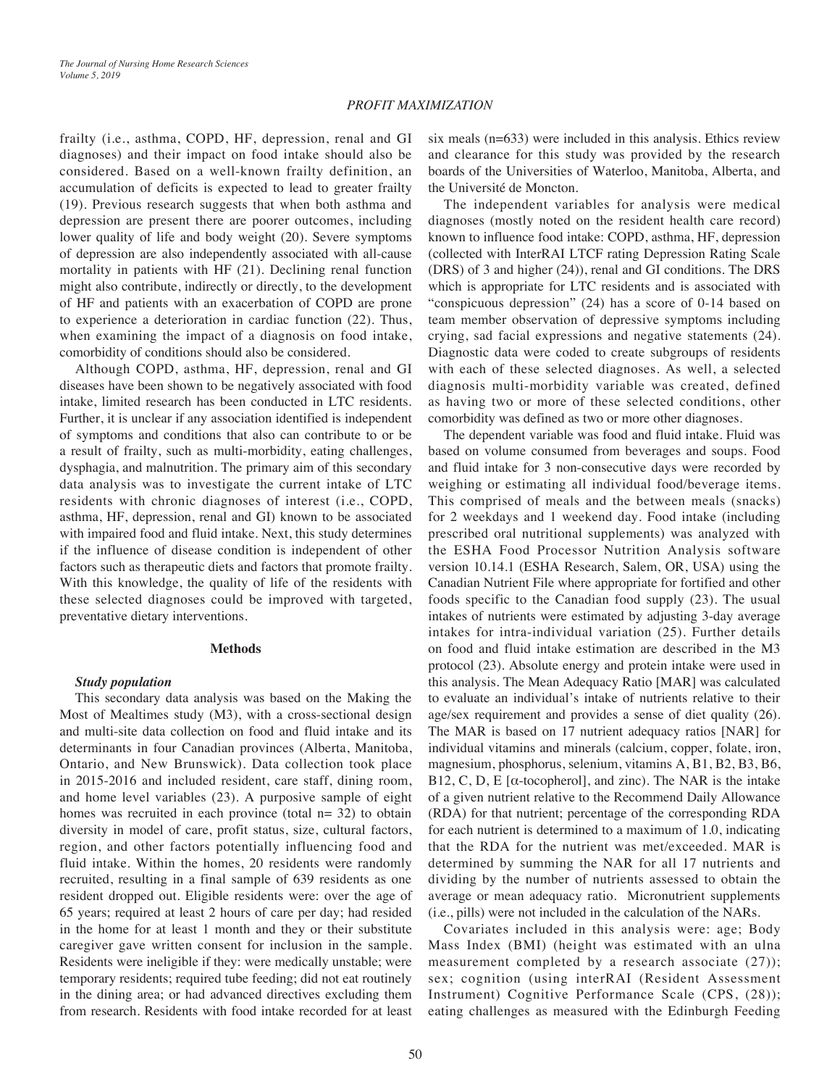## *PROFIT MAXIMIZATION*

frailty (i.e., asthma, COPD, HF, depression, renal and GI diagnoses) and their impact on food intake should also be considered. Based on a well-known frailty definition, an accumulation of deficits is expected to lead to greater frailty (19). Previous research suggests that when both asthma and depression are present there are poorer outcomes, including lower quality of life and body weight (20). Severe symptoms of depression are also independently associated with all-cause mortality in patients with HF (21). Declining renal function might also contribute, indirectly or directly, to the development of HF and patients with an exacerbation of COPD are prone to experience a deterioration in cardiac function (22). Thus, when examining the impact of a diagnosis on food intake, comorbidity of conditions should also be considered.

Although COPD, asthma, HF, depression, renal and GI diseases have been shown to be negatively associated with food intake, limited research has been conducted in LTC residents. Further, it is unclear if any association identified is independent of symptoms and conditions that also can contribute to or be a result of frailty, such as multi-morbidity, eating challenges, dysphagia, and malnutrition. The primary aim of this secondary data analysis was to investigate the current intake of LTC residents with chronic diagnoses of interest (i.e., COPD, asthma, HF, depression, renal and GI) known to be associated with impaired food and fluid intake. Next, this study determines if the influence of disease condition is independent of other factors such as therapeutic diets and factors that promote frailty. With this knowledge, the quality of life of the residents with these selected diagnoses could be improved with targeted, preventative dietary interventions.

## **Methods**

## *Study population*

This secondary data analysis was based on the Making the Most of Mealtimes study (M3), with a cross-sectional design and multi-site data collection on food and fluid intake and its determinants in four Canadian provinces (Alberta, Manitoba, Ontario, and New Brunswick). Data collection took place in 2015-2016 and included resident, care staff, dining room, and home level variables (23). A purposive sample of eight homes was recruited in each province (total  $n=32$ ) to obtain diversity in model of care, profit status, size, cultural factors, region, and other factors potentially influencing food and fluid intake. Within the homes, 20 residents were randomly recruited, resulting in a final sample of 639 residents as one resident dropped out. Eligible residents were: over the age of 65 years; required at least 2 hours of care per day; had resided in the home for at least 1 month and they or their substitute caregiver gave written consent for inclusion in the sample. Residents were ineligible if they: were medically unstable; were temporary residents; required tube feeding; did not eat routinely in the dining area; or had advanced directives excluding them from research. Residents with food intake recorded for at least

six meals (n=633) were included in this analysis. Ethics review and clearance for this study was provided by the research boards of the Universities of Waterloo, Manitoba, Alberta, and the Université de Moncton.

The independent variables for analysis were medical diagnoses (mostly noted on the resident health care record) known to influence food intake: COPD, asthma, HF, depression (collected with InterRAI LTCF rating Depression Rating Scale (DRS) of 3 and higher (24)), renal and GI conditions. The DRS which is appropriate for LTC residents and is associated with "conspicuous depression" (24) has a score of 0-14 based on team member observation of depressive symptoms including crying, sad facial expressions and negative statements (24). Diagnostic data were coded to create subgroups of residents with each of these selected diagnoses. As well, a selected diagnosis multi-morbidity variable was created, defined as having two or more of these selected conditions, other comorbidity was defined as two or more other diagnoses.

The dependent variable was food and fluid intake. Fluid was based on volume consumed from beverages and soups. Food and fluid intake for 3 non-consecutive days were recorded by weighing or estimating all individual food/beverage items. This comprised of meals and the between meals (snacks) for 2 weekdays and 1 weekend day. Food intake (including prescribed oral nutritional supplements) was analyzed with the ESHA Food Processor Nutrition Analysis software version 10.14.1 (ESHA Research, Salem, OR, USA) using the Canadian Nutrient File where appropriate for fortified and other foods specific to the Canadian food supply (23). The usual intakes of nutrients were estimated by adjusting 3-day average intakes for intra-individual variation (25). Further details on food and fluid intake estimation are described in the M3 protocol (23). Absolute energy and protein intake were used in this analysis. The Mean Adequacy Ratio [MAR] was calculated to evaluate an individual's intake of nutrients relative to their age/sex requirement and provides a sense of diet quality (26). The MAR is based on 17 nutrient adequacy ratios [NAR] for individual vitamins and minerals (calcium, copper, folate, iron, magnesium, phosphorus, selenium, vitamins A, B1, B2, B3, B6, B12, C, D, E [ $\alpha$ -tocopherol], and zinc). The NAR is the intake of a given nutrient relative to the Recommend Daily Allowance (RDA) for that nutrient; percentage of the corresponding RDA for each nutrient is determined to a maximum of 1.0, indicating that the RDA for the nutrient was met/exceeded. MAR is determined by summing the NAR for all 17 nutrients and dividing by the number of nutrients assessed to obtain the average or mean adequacy ratio. Micronutrient supplements (i.e., pills) were not included in the calculation of the NARs.

Covariates included in this analysis were: age; Body Mass Index (BMI) (height was estimated with an ulna measurement completed by a research associate (27)); sex; cognition (using interRAI (Resident Assessment Instrument) Cognitive Performance Scale (CPS, (28)); eating challenges as measured with the Edinburgh Feeding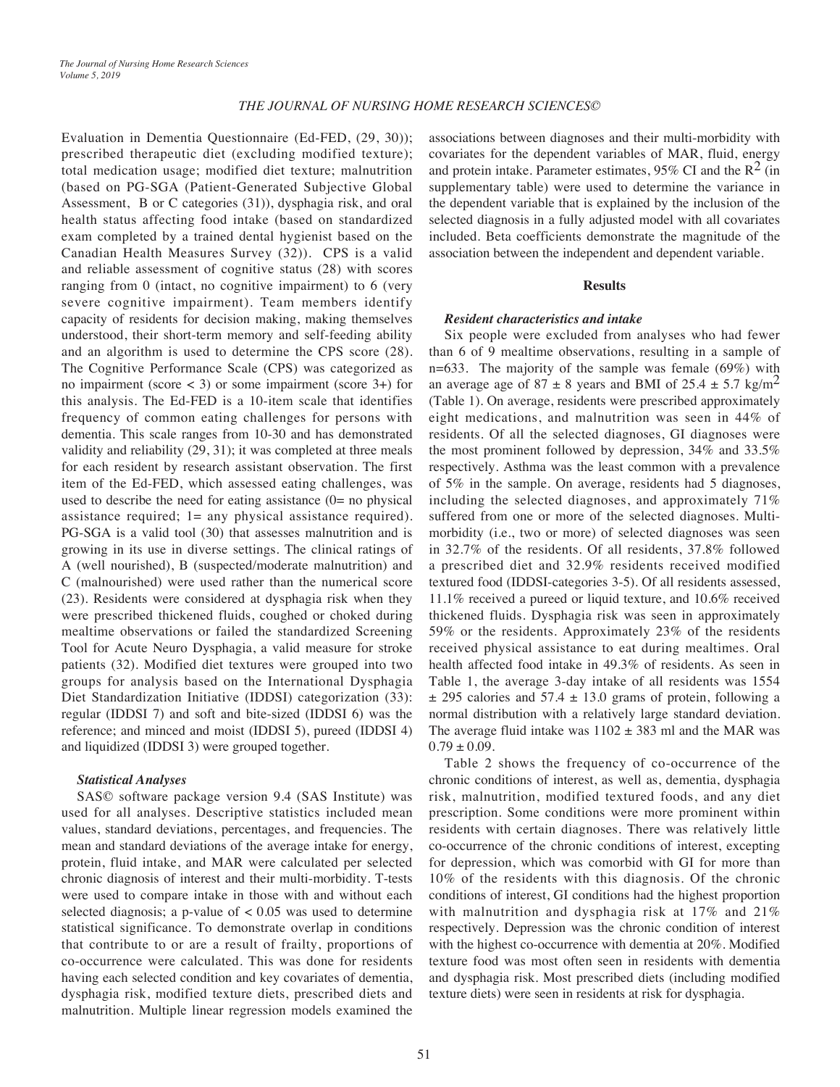Evaluation in Dementia Questionnaire (Ed-FED, (29, 30)); prescribed therapeutic diet (excluding modified texture); total medication usage; modified diet texture; malnutrition (based on PG-SGA (Patient-Generated Subjective Global Assessment, B or C categories (31)), dysphagia risk, and oral health status affecting food intake (based on standardized exam completed by a trained dental hygienist based on the Canadian Health Measures Survey (32)). CPS is a valid and reliable assessment of cognitive status (28) with scores ranging from 0 (intact, no cognitive impairment) to 6 (very severe cognitive impairment). Team members identify capacity of residents for decision making, making themselves understood, their short-term memory and self-feeding ability and an algorithm is used to determine the CPS score (28). The Cognitive Performance Scale (CPS) was categorized as no impairment (score < 3) or some impairment (score 3+) for this analysis. The Ed-FED is a 10-item scale that identifies frequency of common eating challenges for persons with dementia. This scale ranges from 10-30 and has demonstrated validity and reliability (29, 31); it was completed at three meals for each resident by research assistant observation. The first item of the Ed-FED, which assessed eating challenges, was used to describe the need for eating assistance  $(0=$  no physical assistance required; 1= any physical assistance required). PG-SGA is a valid tool (30) that assesses malnutrition and is growing in its use in diverse settings. The clinical ratings of A (well nourished), B (suspected/moderate malnutrition) and C (malnourished) were used rather than the numerical score (23). Residents were considered at dysphagia risk when they were prescribed thickened fluids, coughed or choked during mealtime observations or failed the standardized Screening Tool for Acute Neuro Dysphagia, a valid measure for stroke patients (32). Modified diet textures were grouped into two groups for analysis based on the International Dysphagia Diet Standardization Initiative (IDDSI) categorization (33): regular (IDDSI 7) and soft and bite-sized (IDDSI 6) was the reference; and minced and moist (IDDSI 5), pureed (IDDSI 4) and liquidized (IDDSI 3) were grouped together.

#### *Statistical Analyses*

SAS© software package version 9.4 (SAS Institute) was used for all analyses. Descriptive statistics included mean values, standard deviations, percentages, and frequencies. The mean and standard deviations of the average intake for energy, protein, fluid intake, and MAR were calculated per selected chronic diagnosis of interest and their multi-morbidity. T-tests were used to compare intake in those with and without each selected diagnosis; a p-value of  $< 0.05$  was used to determine statistical significance. To demonstrate overlap in conditions that contribute to or are a result of frailty, proportions of co-occurrence were calculated. This was done for residents having each selected condition and key covariates of dementia, dysphagia risk, modified texture diets, prescribed diets and malnutrition. Multiple linear regression models examined the

associations between diagnoses and their multi-morbidity with covariates for the dependent variables of MAR, fluid, energy and protein intake. Parameter estimates, 95% CI and the  $R^2$  (in supplementary table) were used to determine the variance in the dependent variable that is explained by the inclusion of the selected diagnosis in a fully adjusted model with all covariates included. Beta coefficients demonstrate the magnitude of the association between the independent and dependent variable.

#### **Results**

## *Resident characteristics and intake*

Six people were excluded from analyses who had fewer than 6 of 9 mealtime observations, resulting in a sample of n=633. The majority of the sample was female (69%) with an average age of 87  $\pm$  8 years and BMI of 25.4  $\pm$  5.7 kg/m<sup>2</sup> (Table 1). On average, residents were prescribed approximately eight medications, and malnutrition was seen in 44% of residents. Of all the selected diagnoses, GI diagnoses were the most prominent followed by depression, 34% and 33.5% respectively. Asthma was the least common with a prevalence of 5% in the sample. On average, residents had 5 diagnoses, including the selected diagnoses, and approximately 71% suffered from one or more of the selected diagnoses. Multimorbidity (i.e., two or more) of selected diagnoses was seen in 32.7% of the residents. Of all residents, 37.8% followed a prescribed diet and 32.9% residents received modified textured food (IDDSI-categories 3-5). Of all residents assessed, 11.1% received a pureed or liquid texture, and 10.6% received thickened fluids. Dysphagia risk was seen in approximately 59% or the residents. Approximately 23% of the residents received physical assistance to eat during mealtimes. Oral health affected food intake in 49.3% of residents. As seen in Table 1, the average 3-day intake of all residents was 1554  $\pm$  295 calories and 57.4  $\pm$  13.0 grams of protein, following a normal distribution with a relatively large standard deviation. The average fluid intake was  $1102 \pm 383$  ml and the MAR was  $0.79 \pm 0.09$ .

Table 2 shows the frequency of co-occurrence of the chronic conditions of interest, as well as, dementia, dysphagia risk, malnutrition, modified textured foods, and any diet prescription. Some conditions were more prominent within residents with certain diagnoses. There was relatively little co-occurrence of the chronic conditions of interest, excepting for depression, which was comorbid with GI for more than 10% of the residents with this diagnosis. Of the chronic conditions of interest, GI conditions had the highest proportion with malnutrition and dysphagia risk at 17% and 21% respectively. Depression was the chronic condition of interest with the highest co-occurrence with dementia at 20%. Modified texture food was most often seen in residents with dementia and dysphagia risk. Most prescribed diets (including modified texture diets) were seen in residents at risk for dysphagia.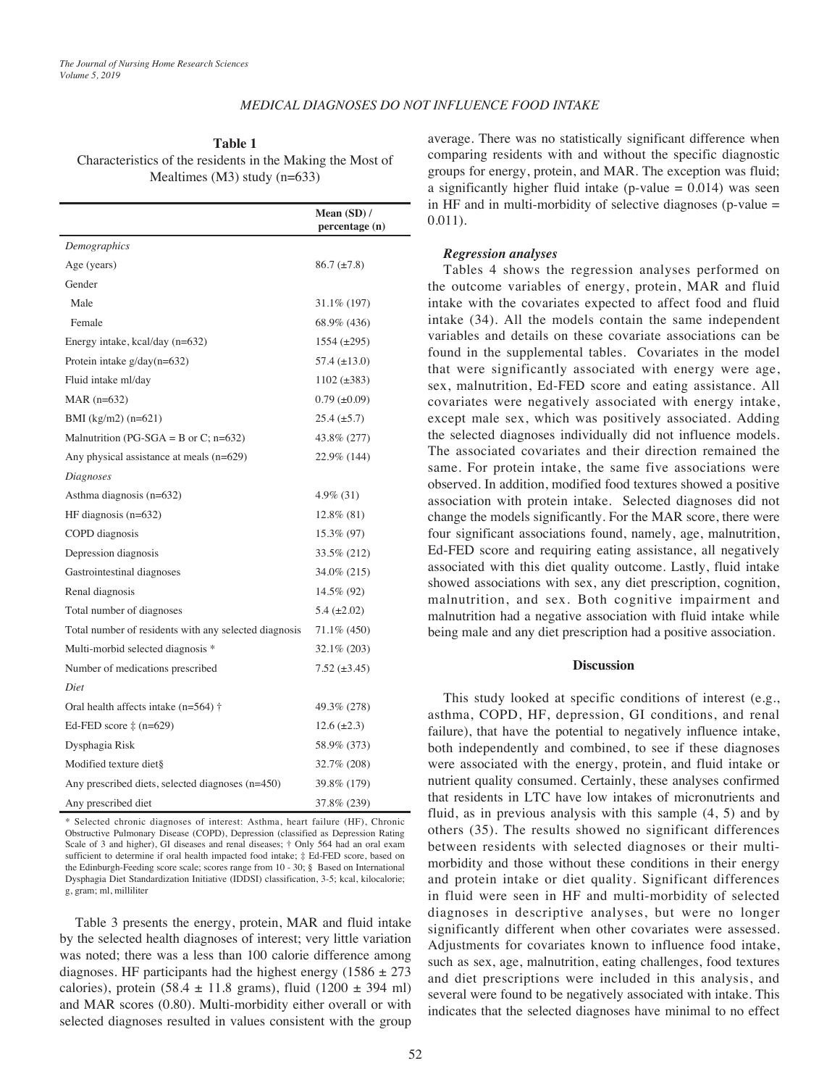## *MEDICAL DIAGNOSES DO NOT INFLUENCE FOOD INTAKE*

**Table 1** Characteristics of the residents in the Making the Most of Mealtimes (M3) study (n=633)

|                                                       | Mean $(SD)$ /<br>percentage (n) |
|-------------------------------------------------------|---------------------------------|
| Demographics                                          |                                 |
| Age (years)                                           | $86.7 \ (\pm 7.8)$              |
| Gender                                                |                                 |
| Male                                                  | 31.1\% (197)                    |
| Female                                                | 68.9% (436)                     |
| Energy intake, kcal/day (n=632)                       | $1554 \ (\pm 295)$              |
| Protein intake $g/day(n=632)$                         | 57.4 $(\pm 13.0)$               |
| Fluid intake ml/day                                   | $1102 (\pm 383)$                |
| MAR $(n=632)$                                         | $0.79 \ (\pm 0.09)$             |
| BMI $(kg/m2)$ (n=621)                                 | $25.4 \ (\pm 5.7)$              |
| Malnutrition (PG-SGA = B or C; $n=632$ )              | 43.8% (277)                     |
| Any physical assistance at meals $(n=629)$            | 22.9% (144)                     |
| Diagnoses                                             |                                 |
| Asthma diagnosis (n=632)                              | $4.9\%$ (31)                    |
| HF diagnosis $(n=632)$                                | $12.8\%$ (81)                   |
| COPD diagnosis                                        | 15.3\% (97)                     |
| Depression diagnosis                                  | 33.5% (212)                     |
| Gastrointestinal diagnoses                            | 34.0\% (215)                    |
| Renal diagnosis                                       | 14.5% (92)                      |
| Total number of diagnoses                             | 5.4 $(\pm 2.02)$                |
| Total number of residents with any selected diagnosis | 71.1\% (450)                    |
| Multi-morbid selected diagnosis *                     | $32.1\% (203)$                  |
| Number of medications prescribed                      | $7.52 \ (\pm 3.45)$             |
| Diet                                                  |                                 |
| Oral health affects intake ( $n=564$ ) †              | 49.3% (278)                     |
| Ed-FED score $\ddagger$ (n=629)                       | $12.6 (\pm 2.3)$                |
| Dysphagia Risk                                        | 58.9% (373)                     |
| Modified texture diet§                                | 32.7% (208)                     |
| Any prescribed diets, selected diagnoses (n=450)      | 39.8% (179)                     |
| Any prescribed diet                                   | 37.8% (239)                     |

\* Selected chronic diagnoses of interest: Asthma, heart failure (HF), Chronic Obstructive Pulmonary Disease (COPD), Depression (classified as Depression Rating Scale of 3 and higher), GI diseases and renal diseases; † Only 564 had an oral exam sufficient to determine if oral health impacted food intake; ‡ Ed-FED score, based on the Edinburgh-Feeding score scale; scores range from 10 - 30; § Based on International Dysphagia Diet Standardization Initiative (IDDSI) classification, 3-5; kcal, kilocalorie; g, gram; ml, milliliter

Table 3 presents the energy, protein, MAR and fluid intake by the selected health diagnoses of interest; very little variation was noted; there was a less than 100 calorie difference among diagnoses. HF participants had the highest energy (1586  $\pm$  273 calories), protein (58.4  $\pm$  11.8 grams), fluid (1200  $\pm$  394 ml) and MAR scores (0.80). Multi-morbidity either overall or with selected diagnoses resulted in values consistent with the group

average. There was no statistically significant difference when comparing residents with and without the specific diagnostic groups for energy, protein, and MAR. The exception was fluid; a significantly higher fluid intake (p-value  $= 0.014$ ) was seen in HF and in multi-morbidity of selective diagnoses (p-value = 0.011).

## *Regression analyses*

Tables 4 shows the regression analyses performed on the outcome variables of energy, protein, MAR and fluid intake with the covariates expected to affect food and fluid intake (34). All the models contain the same independent variables and details on these covariate associations can be found in the supplemental tables. Covariates in the model that were significantly associated with energy were age, sex, malnutrition, Ed-FED score and eating assistance. All covariates were negatively associated with energy intake, except male sex, which was positively associated. Adding the selected diagnoses individually did not influence models. The associated covariates and their direction remained the same. For protein intake, the same five associations were observed. In addition, modified food textures showed a positive association with protein intake. Selected diagnoses did not change the models significantly. For the MAR score, there were four significant associations found, namely, age, malnutrition, Ed-FED score and requiring eating assistance, all negatively associated with this diet quality outcome. Lastly, fluid intake showed associations with sex, any diet prescription, cognition, malnutrition, and sex. Both cognitive impairment and malnutrition had a negative association with fluid intake while being male and any diet prescription had a positive association.

#### **Discussion**

This study looked at specific conditions of interest (e.g., asthma, COPD, HF, depression, GI conditions, and renal failure), that have the potential to negatively influence intake, both independently and combined, to see if these diagnoses were associated with the energy, protein, and fluid intake or nutrient quality consumed. Certainly, these analyses confirmed that residents in LTC have low intakes of micronutrients and fluid, as in previous analysis with this sample (4, 5) and by others (35). The results showed no significant differences between residents with selected diagnoses or their multimorbidity and those without these conditions in their energy and protein intake or diet quality. Significant differences in fluid were seen in HF and multi-morbidity of selected diagnoses in descriptive analyses, but were no longer significantly different when other covariates were assessed. Adjustments for covariates known to influence food intake, such as sex, age, malnutrition, eating challenges, food textures and diet prescriptions were included in this analysis, and several were found to be negatively associated with intake. This indicates that the selected diagnoses have minimal to no effect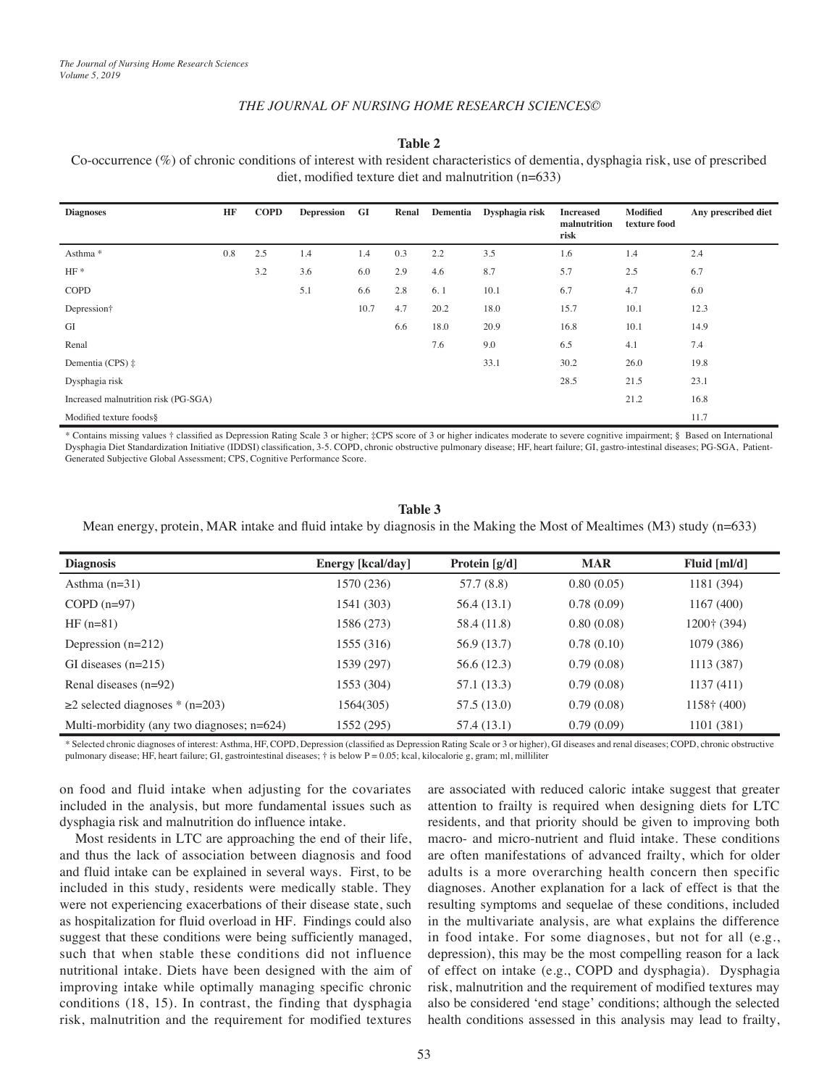## *THE JOURNAL OF NURSING HOME RESEARCH SCIENCES©*

## **Table 2**

Co-occurrence (%) of chronic conditions of interest with resident characteristics of dementia, dysphagia risk, use of prescribed diet, modified texture diet and malnutrition (n=633)

| <b>Diagnoses</b>                     | HF  | <b>COPD</b> | <b>Depression</b> | GI   | Renal | Dementia | Dysphagia risk | <b>Increased</b><br>malnutrition<br>risk | <b>Modified</b><br>texture food | Any prescribed diet |
|--------------------------------------|-----|-------------|-------------------|------|-------|----------|----------------|------------------------------------------|---------------------------------|---------------------|
| Asthma <sup>*</sup>                  | 0.8 | 2.5         | 1.4               | 1.4  | 0.3   | 2.2      | 3.5            | 1.6                                      | 1.4                             | 2.4                 |
| $HF*$                                |     | 3.2         | 3.6               | 6.0  | 2.9   | 4.6      | 8.7            | 5.7                                      | 2.5                             | 6.7                 |
| <b>COPD</b>                          |     |             | 5.1               | 6.6  | 2.8   | 6.1      | 10.1           | 6.7                                      | 4.7                             | 6.0                 |
| Depression†                          |     |             |                   | 10.7 | 4.7   | 20.2     | 18.0           | 15.7                                     | 10.1                            | 12.3                |
| GI                                   |     |             |                   |      | 6.6   | 18.0     | 20.9           | 16.8                                     | 10.1                            | 14.9                |
| Renal                                |     |             |                   |      |       | 7.6      | 9.0            | 6.5                                      | 4.1                             | 7.4                 |
| Dementia (CPS) $\ddagger$            |     |             |                   |      |       |          | 33.1           | 30.2                                     | 26.0                            | 19.8                |
| Dysphagia risk                       |     |             |                   |      |       |          |                | 28.5                                     | 21.5                            | 23.1                |
| Increased malnutrition risk (PG-SGA) |     |             |                   |      |       |          |                |                                          | 21.2                            | 16.8                |
| Modified texture foods§              |     |             |                   |      |       |          |                |                                          |                                 | 11.7                |

\* Contains missing values † classified as Depression Rating Scale 3 or higher; ‡CPS score of 3 or higher indicates moderate to severe cognitive impairment; § Based on International Dysphagia Diet Standardization Initiative (IDDSI) classification, 3-5. COPD, chronic obstructive pulmonary disease; HF, heart failure; GI, gastro-intestinal diseases; PG-SGA, Patient-Generated Subjective Global Assessment; CPS, Cognitive Performance Score.

#### **Table 3**

Mean energy, protein, MAR intake and fluid intake by diagnosis in the Making the Most of Mealtimes (M3) study (n=633)

| <b>Diagnosis</b>                              | <b>Energy</b> [kcal/day] | Protein $[g/d]$ | <b>MAR</b> | Fluid $[m]/d$        |
|-----------------------------------------------|--------------------------|-----------------|------------|----------------------|
| Asthma $(n=31)$                               | 1570 (236)               | 57.7 (8.8)      | 0.80(0.05) | 1181 (394)           |
| $COPD(n=97)$                                  | 1541 (303)               | 56.4(13.1)      | 0.78(0.09) | 1167(400)            |
| $HF(n=81)$                                    | 1586 (273)               | 58.4 (11.8)     | 0.80(0.08) | $1200 \dot{+} (394)$ |
| Depression $(n=212)$                          | 1555 (316)               | 56.9 (13.7)     | 0.78(0.10) | 1079 (386)           |
| GI diseases $(n=215)$                         | 1539 (297)               | 56.6 (12.3)     | 0.79(0.08) | 1113 (387)           |
| Renal diseases $(n=92)$                       | 1553 (304)               | 57.1 (13.3)     | 0.79(0.08) | 1137(411)            |
| $\geq$ 2 selected diagnoses * (n=203)         | 1564(305)                | 57.5 (13.0)     | 0.79(0.08) | $1158 \t400$         |
| Multi-morbidity (any two diagnoses; $n=624$ ) | 1552 (295)               | 57.4 (13.1)     | 0.79(0.09) | 1101 (381)           |

\* Selected chronic diagnoses of interest: Asthma, HF, COPD, Depression (classified as Depression Rating Scale or 3 or higher), GI diseases and renal diseases; COPD, chronic obstructive pulmonary disease; HF, heart failure; GI, gastrointestinal diseases; † is below P = 0.05; kcal, kilocalorie g, gram; ml, milliliter

on food and fluid intake when adjusting for the covariates included in the analysis, but more fundamental issues such as dysphagia risk and malnutrition do influence intake.

Most residents in LTC are approaching the end of their life, and thus the lack of association between diagnosis and food and fluid intake can be explained in several ways. First, to be included in this study, residents were medically stable. They were not experiencing exacerbations of their disease state, such as hospitalization for fluid overload in HF. Findings could also suggest that these conditions were being sufficiently managed, such that when stable these conditions did not influence nutritional intake. Diets have been designed with the aim of improving intake while optimally managing specific chronic conditions (18, 15). In contrast, the finding that dysphagia risk, malnutrition and the requirement for modified textures

are associated with reduced caloric intake suggest that greater attention to frailty is required when designing diets for LTC residents, and that priority should be given to improving both macro- and micro-nutrient and fluid intake. These conditions are often manifestations of advanced frailty, which for older adults is a more overarching health concern then specific diagnoses. Another explanation for a lack of effect is that the resulting symptoms and sequelae of these conditions, included in the multivariate analysis, are what explains the difference in food intake. For some diagnoses, but not for all (e.g., depression), this may be the most compelling reason for a lack of effect on intake (e.g., COPD and dysphagia). Dysphagia risk, malnutrition and the requirement of modified textures may also be considered 'end stage' conditions; although the selected health conditions assessed in this analysis may lead to frailty,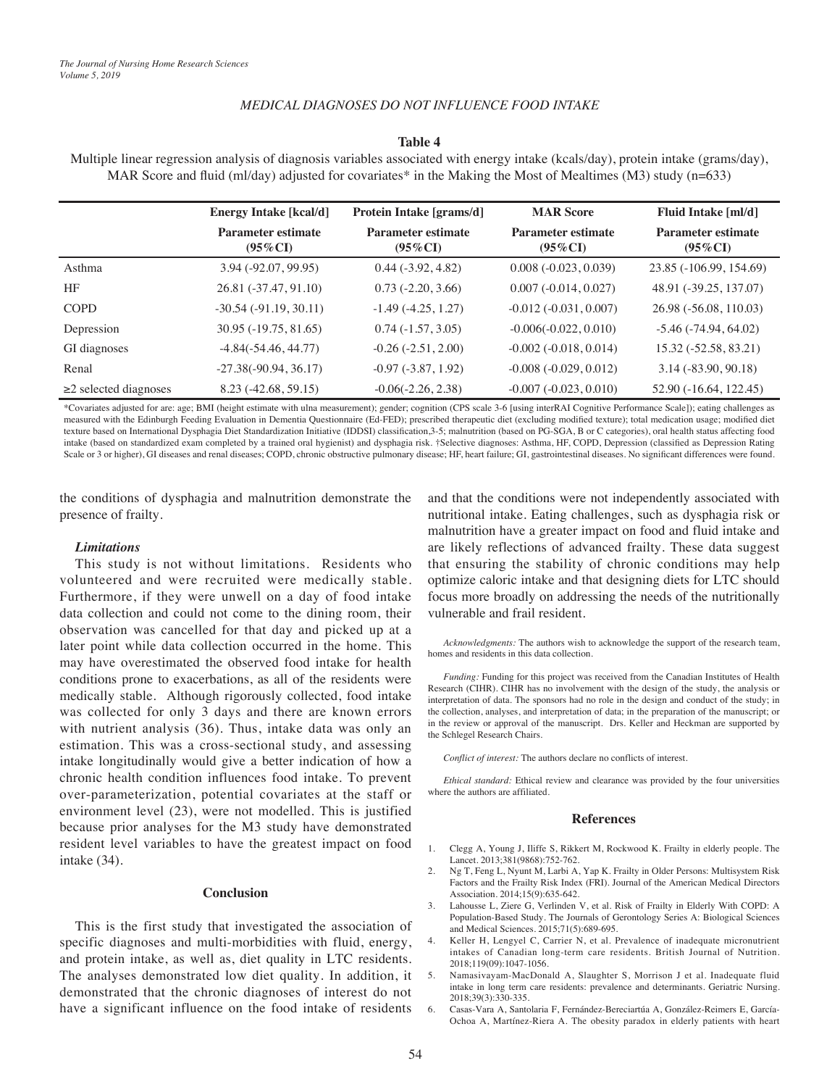## *MEDICAL DIAGNOSES DO NOT INFLUENCE FOOD INTAKE*

## **Table 4**

Multiple linear regression analysis of diagnosis variables associated with energy intake (kcals/day), protein intake (grams/day), MAR Score and fluid (ml/day) adjusted for covariates\* in the Making the Most of Mealtimes (M3) study (n=633)

|                           | <b>Energy Intake [kcal/d]</b>           | Protein Intake [grams/d]                | <b>MAR Score</b>                        | Fluid Intake [ml/d]                     |
|---------------------------|-----------------------------------------|-----------------------------------------|-----------------------------------------|-----------------------------------------|
|                           | <b>Parameter estimate</b><br>$(95\%CI)$ | <b>Parameter estimate</b><br>$(95\%CI)$ | <b>Parameter estimate</b><br>$(95\%CI)$ | <b>Parameter estimate</b><br>$(95\%CI)$ |
| Asthma                    | 3.94 (-92.07, 99.95)                    | $0.44 (-3.92, 4.82)$                    | $0.008(-0.023, 0.039)$                  | 23.85 (-106.99, 154.69)                 |
| HF                        | 26.81 (-37.47, 91.10)                   | $0.73$ ( $-2.20, 3.66$ )                | $0.007(-0.014, 0.027)$                  | 48.91 (-39.25, 137.07)                  |
| <b>COPD</b>               | $-30.54$ ( $-91.19$ , $30.11$ )         | $-1.49(-4.25, 1.27)$                    | $-0.012$ $(-0.031, 0.007)$              | 26.98 (-56.08, 110.03)                  |
| Depression                | $30.95(-19.75, 81.65)$                  | $0.74(-1.57, 3.05)$                     | $-0.006(-0.022, 0.010)$                 | $-5.46$ ( $-74.94$ , 64.02)             |
| GI diagnoses              | $-4.84(-54.46, 44.77)$                  | $-0.26(-2.51, 2.00)$                    | $-0.002(-0.018, 0.014)$                 | 15.32 (-52.58, 83.21)                   |
| Renal                     | $-27.38(-90.94, 36.17)$                 | $-0.97(-3.87, 1.92)$                    | $-0.008(-0.029, 0.012)$                 | $3.14(-83.90, 90.18)$                   |
| $\geq$ selected diagnoses | $8.23(-42.68, 59.15)$                   | $-0.06(-2.26, 2.38)$                    | $-0.007 (-0.023, 0.010)$                | 52.90 (-16.64, 122.45)                  |

\*Covariates adjusted for are: age; BMI (height estimate with ulna measurement); gender; cognition (CPS scale 3-6 [using interRAI Cognitive Performance Scale]); eating challenges as measured with the Edinburgh Feeding Evaluation in Dementia Questionnaire (Ed-FED); prescribed therapeutic diet (excluding modified texture); total medication usage; modified diet texture based on International Dysphagia Diet Standardization Initiative (IDDSI) classification,3-5; malnutrition (based on PG-SGA, B or C categories), oral health status affecting food intake (based on standardized exam completed by a trained oral hygienist) and dysphagia risk. †Selective diagnoses: Asthma, HF, COPD, Depression (classified as Depression Rating Scale or 3 or higher), GI diseases and renal diseases; COPD, chronic obstructive pulmonary disease; HF, heart failure; GI, gastrointestinal diseases. No significant differences were found.

the conditions of dysphagia and malnutrition demonstrate the presence of frailty.

#### *Limitations*

This study is not without limitations. Residents who volunteered and were recruited were medically stable. Furthermore, if they were unwell on a day of food intake data collection and could not come to the dining room, their observation was cancelled for that day and picked up at a later point while data collection occurred in the home. This may have overestimated the observed food intake for health conditions prone to exacerbations, as all of the residents were medically stable. Although rigorously collected, food intake was collected for only 3 days and there are known errors with nutrient analysis (36). Thus, intake data was only an estimation. This was a cross-sectional study, and assessing intake longitudinally would give a better indication of how a chronic health condition influences food intake. To prevent over-parameterization, potential covariates at the staff or environment level (23), were not modelled. This is justified because prior analyses for the M3 study have demonstrated resident level variables to have the greatest impact on food intake (34).

#### **Conclusion**

This is the first study that investigated the association of specific diagnoses and multi-morbidities with fluid, energy, and protein intake, as well as, diet quality in LTC residents. The analyses demonstrated low diet quality. In addition, it demonstrated that the chronic diagnoses of interest do not have a significant influence on the food intake of residents

and that the conditions were not independently associated with nutritional intake. Eating challenges, such as dysphagia risk or malnutrition have a greater impact on food and fluid intake and are likely reflections of advanced frailty. These data suggest that ensuring the stability of chronic conditions may help optimize caloric intake and that designing diets for LTC should focus more broadly on addressing the needs of the nutritionally vulnerable and frail resident.

*Acknowledgments:* The authors wish to acknowledge the support of the research team, homes and residents in this data collection.

*Funding:* Funding for this project was received from the Canadian Institutes of Health Research (CIHR). CIHR has no involvement with the design of the study, the analysis or interpretation of data. The sponsors had no role in the design and conduct of the study; in the collection, analyses, and interpretation of data; in the preparation of the manuscript; or in the review or approval of the manuscript. Drs. Keller and Heckman are supported by the Schlegel Research Chairs.

*Conflict of interest:* The authors declare no conflicts of interest.

*Ethical standard:* Ethical review and clearance was provided by the four universities where the authors are affiliated.

#### **References**

- 1. Clegg A, Young J, Iliffe S, Rikkert M, Rockwood K. Frailty in elderly people. The Lancet. 2013;381(9868):752-762.
- 2. Ng T, Feng L, Nyunt M, Larbi A, Yap K. Frailty in Older Persons: Multisystem Risk Factors and the Frailty Risk Index (FRI). Journal of the American Medical Directors Association. 2014;15(9):635-642.
- 3. Lahousse L, Ziere G, Verlinden V, et al. Risk of Frailty in Elderly With COPD: A Population-Based Study. The Journals of Gerontology Series A: Biological Sciences and Medical Sciences. 2015;71(5):689-695.
- 4. Keller H, Lengyel C, Carrier N, et al. Prevalence of inadequate micronutrient intakes of Canadian long-term care residents. British Journal of Nutrition. 2018;119(09):1047-1056.
- 5. Namasivayam-MacDonald A, Slaughter S, Morrison J et al. Inadequate fluid intake in long term care residents: prevalence and determinants. Geriatric Nursing. 2018;39(3):330-335.
- 6. Casas-Vara A, Santolaria F, Fernández-Bereciartúa A, González-Reimers E, García-Ochoa A, Martínez-Riera A. The obesity paradox in elderly patients with heart